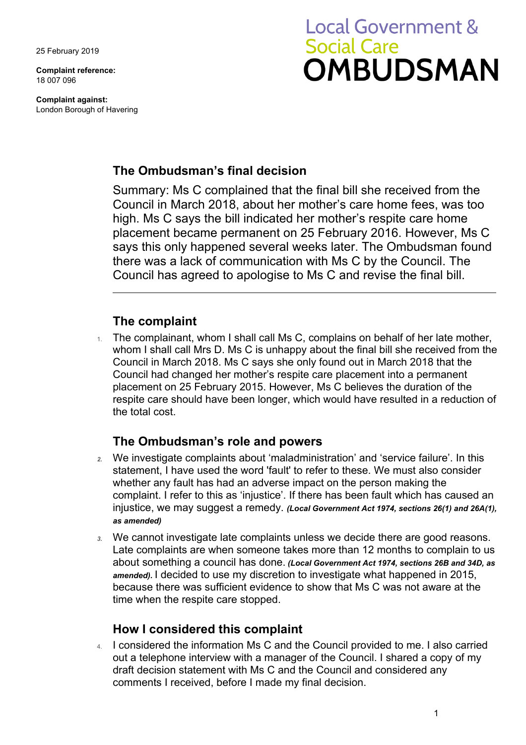25 February 2019

**Complaint reference:**  18 007 096

**Complaint against:**  London Borough of Havering

# **Local Government & Social Care OMBUDSMAN**

## **The Ombudsman's final decision**

 Summary: Ms C complained that the final bill she received from the says this only happened several weeks later. The Ombudsman found Council in March 2018, about her mother's care home fees, was too high. Ms C says the bill indicated her mother's respite care home placement became permanent on 25 February 2016. However, Ms C there was a lack of communication with Ms C by the Council. The Council has agreed to apologise to Ms C and revise the final bill.

# **The complaint**

 respite care should have been longer, which would have resulted in a reduction of The complainant, whom I shall call Ms C, complains on behalf of her late mother, whom I shall call Mrs D. Ms C is unhappy about the final bill she received from the Council in March 2018. Ms C says she only found out in March 2018 that the Council had changed her mother's respite care placement into a permanent placement on 25 February 2015. However, Ms C believes the duration of the the total cost.

# **The Ombudsman's role and powers**

- *2.* We investigate complaints about 'maladministration' and 'service failure'. In this statement, I have used the word 'fault' to refer to these. We must also consider whether any fault has had an adverse impact on the person making the complaint. I refer to this as 'injustice'. If there has been fault which has caused an injustice, we may suggest a remedy. *(Local Government Act 1974, sections 26(1) and 26A(1), as amended)*
- Late complaints are when someone takes more than 12 months to complain to us *3.* We cannot investigate late complaints unless we decide there are good reasons. about something a council has done. *(Local Government Act 1974, sections 26B and 34D, as amended).* I decided to use my discretion to investigate what happened in 2015, because there was sufficient evidence to show that Ms C was not aware at the time when the respite care stopped.

## **How I considered this complaint**

4. I considered the information Ms C and the Council provided to me. I also carried out a telephone interview with a manager of the Council. I shared a copy of my draft decision statement with Ms C and the Council and considered any comments I received, before I made my final decision.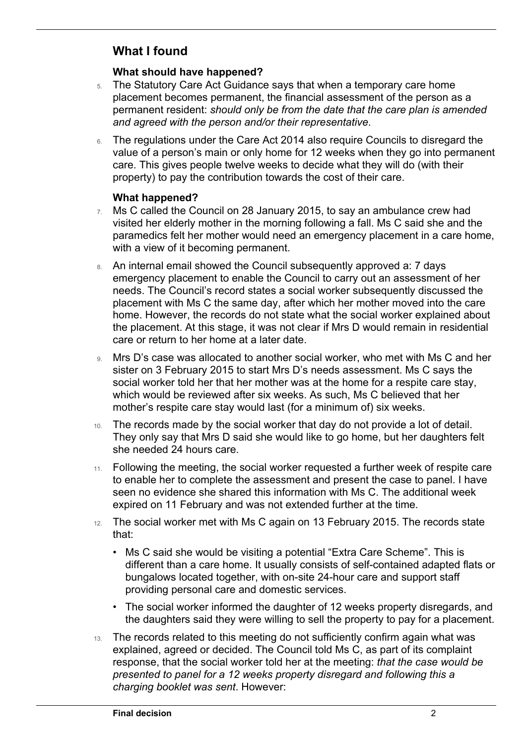# **What I found**

 $\overline{a}$ 

#### **What should have happened?**

- 5. The Statutory Care Act Guidance says that when a temporary care home placement becomes permanent, the financial assessment of the person as a permanent resident: *should only be from the date that the care plan is amended and agreed with the person and/or their representative*.
- 6. The regulations under the Care Act 2014 also require Councils to disregard the value of a person's main or only home for 12 weeks when they go into permanent property) to pay the contribution towards the cost of their care. care. This gives people twelve weeks to decide what they will do (with their

#### **What happened?**

- 7. Ms C called the Council on 28 January 2015, to say an ambulance crew had visited her elderly mother in the morning following a fall. Ms C said she and the paramedics felt her mother would need an emergency placement in a care home, with a view of it becoming permanent.
- 8. An internal email showed the Council subsequently approved a: 7 days care or return to her home at a later date. emergency placement to enable the Council to carry out an assessment of her needs. The Council's record states a social worker subsequently discussed the placement with Ms C the same day, after which her mother moved into the care home. However, the records do not state what the social worker explained about the placement. At this stage, it was not clear if Mrs D would remain in residential
- social worker told her that her mother was at the home for a respite care stay, which would be reviewed after six weeks. As such, Ms C believed that her 9. Mrs D's case was allocated to another social worker, who met with Ms C and her sister on 3 February 2015 to start Mrs D's needs assessment. Ms C says the mother's respite care stay would last (for a minimum of) six weeks.
- 10. The records made by the social worker that day do not provide a lot of detail. They only say that Mrs D said she would like to go home, but her daughters felt she needed 24 hours care.
- 11. Following the meeting, the social worker requested a further week of respite care to enable her to complete the assessment and present the case to panel. I have seen no evidence she shared this information with Ms C. The additional week expired on 11 February and was not extended further at the time.
- 12. The social worker met with Ms C again on 13 February 2015. The records state that:
	- • Ms C said she would be visiting a potential "Extra Care Scheme". This is different than a care home. It usually consists of self-contained adapted flats or bungalows located together, with on-site 24-hour care and support staff providing personal care and domestic services.
	- the daughters said they were willing to sell the property to pay for a placement. • The social worker informed the daughter of 12 weeks property disregards, and
- 13. The records related to this meeting do not sufficiently confirm again what was explained, agreed or decided. The Council told Ms C, as part of its complaint response, that the social worker told her at the meeting: *that the case would be presented to panel for a 12 weeks property disregard and following this a charging booklet was sent*. However: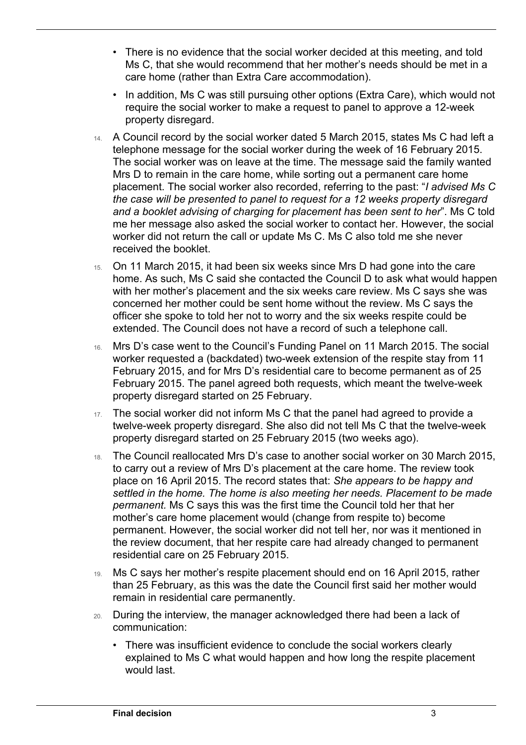- Ms C, that she would recommend that her mother's needs should be met in a • There is no evidence that the social worker decided at this meeting, and told care home (rather than Extra Care accommodation).
- In addition, Ms C was still pursuing other options (Extra Care), which would not require the social worker to make a request to panel to approve a 12-week property disregard.
- Mrs D to remain in the care home, while sorting out a permanent care home placement. The social worker also recorded, referring to the past: "*I advised Ms C*  14. A Council record by the social worker dated 5 March 2015, states Ms C had left a telephone message for the social worker during the week of 16 February 2015. The social worker was on leave at the time. The message said the family wanted *the case will be presented to panel to request for a 12 weeks property disregard and a booklet advising of charging for placement has been sent to her*". Ms C told me her message also asked the social worker to contact her. However, the social worker did not return the call or update Ms C. Ms C also told me she never received the booklet.
- 15. On 11 March 2015, it had been six weeks since Mrs D had gone into the care home. As such, Ms C said she contacted the Council D to ask what would happen officer she spoke to told her not to worry and the six weeks respite could be with her mother's placement and the six weeks care review. Ms C says she was concerned her mother could be sent home without the review. Ms C says the extended. The Council does not have a record of such a telephone call.
- 16. Mrs D's case went to the Council's Funding Panel on 11 March 2015. The social worker requested a (backdated) two-week extension of the respite stay from 11 February 2015, and for Mrs D's residential care to become permanent as of 25 February 2015. The panel agreed both requests, which meant the twelve-week property disregard started on 25 February.
- 17. The social worker did not inform Ms C that the panel had agreed to provide a twelve-week property disregard. She also did not tell Ms C that the twelve-week property disregard started on 25 February 2015 (two weeks ago).
- 18. The Council reallocated Mrs D's case to another social worker on 30 March 2015, to carry out a review of Mrs D's placement at the care home. The review took place on 16 April 2015. The record states that: *She appears to be happy and settled in the home. The home is also meeting her needs. Placement to be made permanent.* Ms C says this was the first time the Council told her that her mother's care home placement would (change from respite to) become permanent. However, the social worker did not tell her, nor was it mentioned in the review document, that her respite care had already changed to permanent residential care on 25 February 2015.
- 19. Ms C says her mother's respite placement should end on 16 April 2015, rather than 25 February, as this was the date the Council first said her mother would remain in residential care permanently.
- 20. During the interview, the manager acknowledged there had been a lack of communication:
	- • There was insufficient evidence to conclude the social workers clearly explained to Ms C what would happen and how long the respite placement would last.

 $\overline{a}$